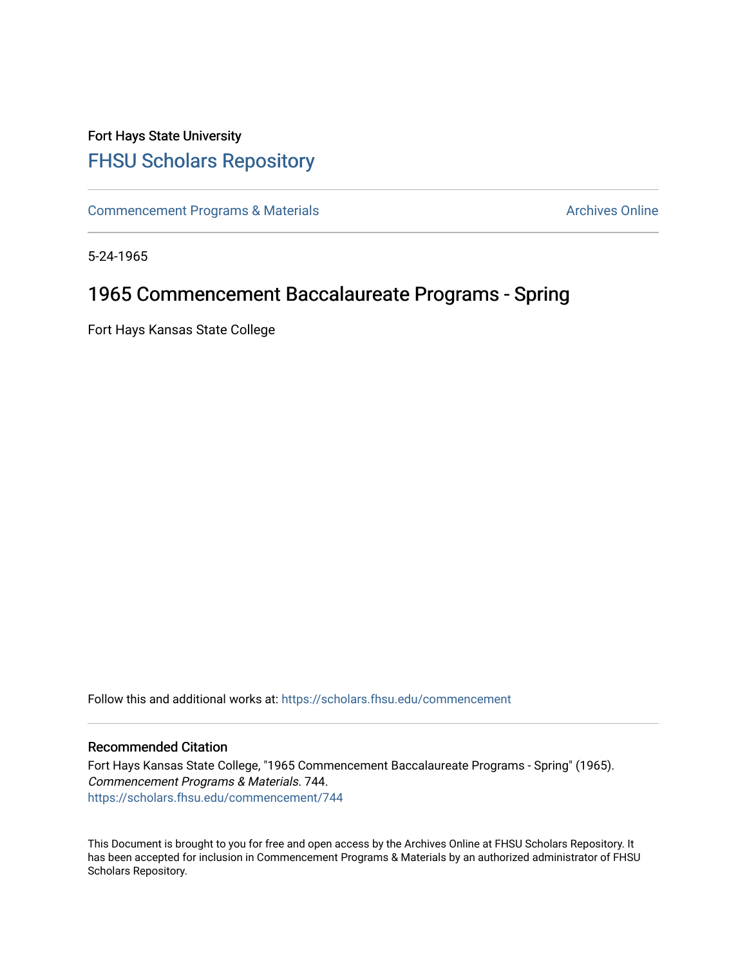## Fort Hays State University [FHSU Scholars Repository](https://scholars.fhsu.edu/)

[Commencement Programs & Materials](https://scholars.fhsu.edu/commencement) **Archives Online** Archives Online

5-24-1965

## 1965 Commencement Baccalaureate Programs - Spring

Fort Hays Kansas State College

Follow this and additional works at: [https://scholars.fhsu.edu/commencement](https://scholars.fhsu.edu/commencement?utm_source=scholars.fhsu.edu%2Fcommencement%2F744&utm_medium=PDF&utm_campaign=PDFCoverPages)

## Recommended Citation

Fort Hays Kansas State College, "1965 Commencement Baccalaureate Programs - Spring" (1965). Commencement Programs & Materials. 744. [https://scholars.fhsu.edu/commencement/744](https://scholars.fhsu.edu/commencement/744?utm_source=scholars.fhsu.edu%2Fcommencement%2F744&utm_medium=PDF&utm_campaign=PDFCoverPages)

This Document is brought to you for free and open access by the Archives Online at FHSU Scholars Repository. It has been accepted for inclusion in Commencement Programs & Materials by an authorized administrator of FHSU Scholars Repository.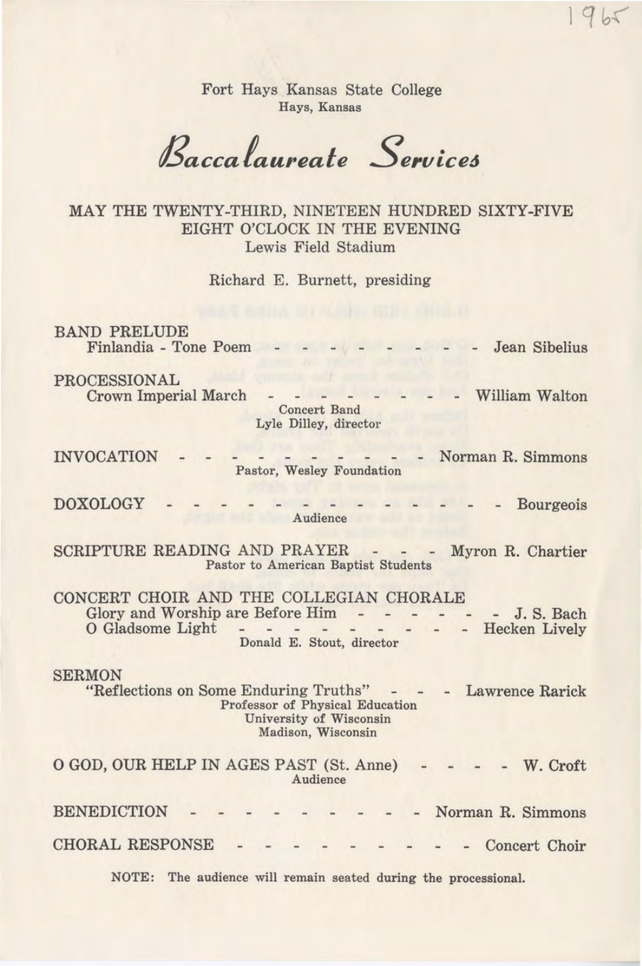Fort Hays Kansas State College Hays, Kansas

*Baccafaureafe Service6* 

MAY THE TWENTY-THIRD, NINETEEN HUNDRED SIXTY-FIVE EIGHT O'CLOCK IN THE EVENING Lewis Field Stadium

Richard E. Burnett, presiding

BAND PRELUDE Finlandia - Tone Poem  $\begin{array}{ccccccccccccc} \cdot & \cdot & \cdot & \cdot & \cdot & \cdot & \cdot \end{array}$ - Jean Sibelius

PROCESSIONAL

Crown Imperial March Concert Band - William Walton

Lyle Dilley, director

INVOCATION - - - - - - - - - - Norman R. Simmons Pastor, Wesley Foundation

DOXOLOGY - - - - - - - - - - - - - Bourgeois Audience

SCRIPTURE READING AND PRAYER - - - Myron R. Chartier Pastor to American Baptist Students

CONCERT CHOIR AND THE COLLEGIAN CHORALE Glory and Worship are Before Him - - - -0 Gladsome Light Donald E. Stout, director - - - J. S. Bach<br>- - Hecken Lively

SERMON

"Reflections on Some Enduring Truths" - Lawrence Rarick Professor of Physical Education University of Wisconsin Madison, Wisconsin

0 GOD, OUR HELP IN AGES PAST (St. Anne) Audience - W. Croft

BENEDICTION CHORAL RESPONSE - Norman R. Simmons - Concert Choir

NOTE: The audience will remain seated during the processional.